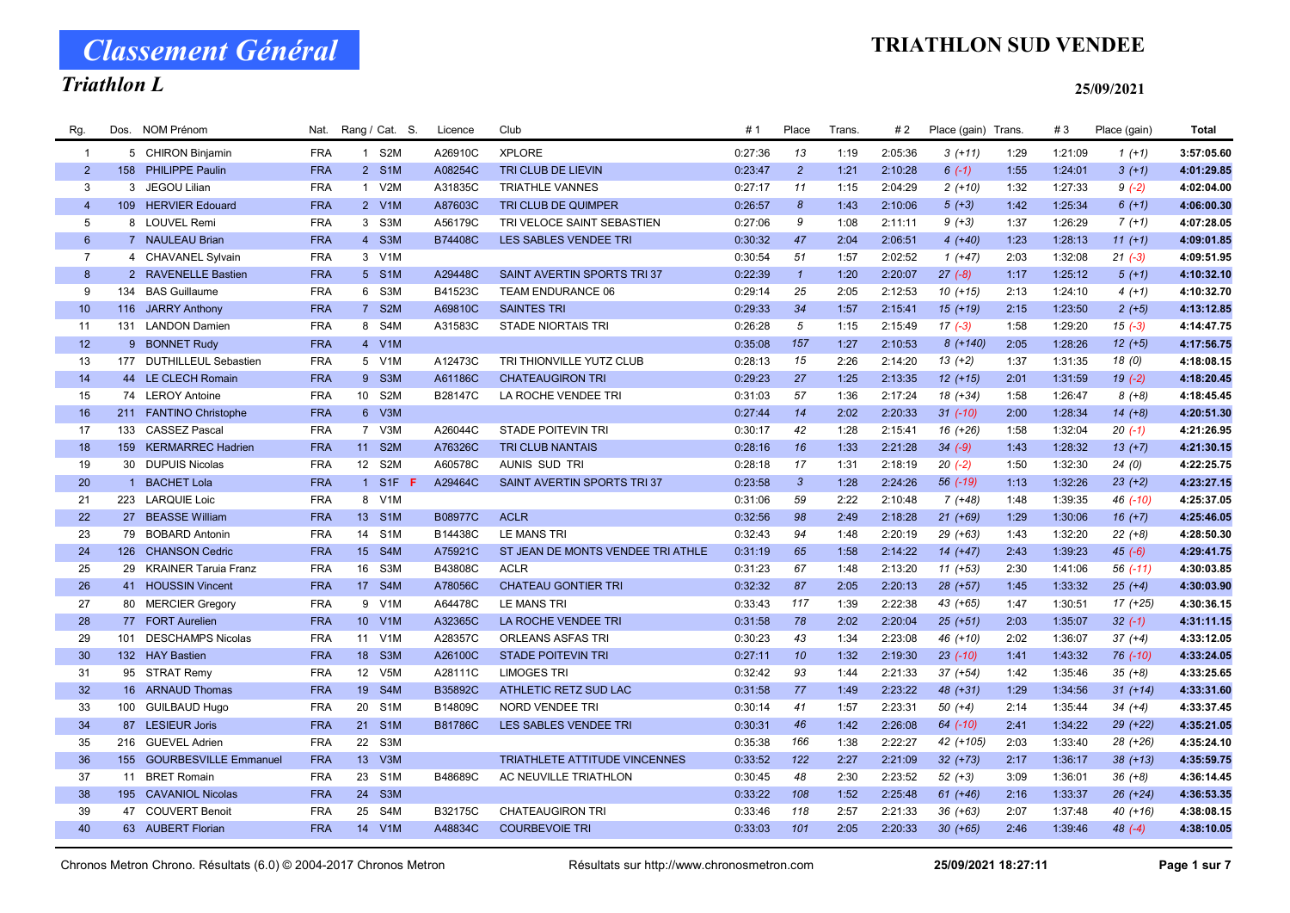# Triathlon L

## TRIATHLON SUD VENDEE

### 25/09/2021

| Rg.             | Dos. | <b>NOM Prénom</b>         | Nat.       | Rang / Cat. S.                      | Licence        | Club                                 | #1      | Place            | <b>Trans</b> | # 2     | Place (gain) Trans. |      | #3      | Place (gain) | Total      |
|-----------------|------|---------------------------|------------|-------------------------------------|----------------|--------------------------------------|---------|------------------|--------------|---------|---------------------|------|---------|--------------|------------|
| $\overline{1}$  |      | 5 CHIRON Binjamin         | <b>FRA</b> | 1 S2M                               | A26910C        | <b>XPLORE</b>                        | 0:27:36 | 13               | 1:19         | 2:05:36 | $3(+11)$            | 1:29 | 1:21:09 | $1(+1)$      | 3:57:05.60 |
| $\overline{2}$  |      | 158 PHILIPPE Paulin       | <b>FRA</b> | 2 S1M                               | A08254C        | TRI CLUB DE LIEVIN                   | 0:23:47 | $\overline{2}$   | 1:21         | 2:10:28 | $6(-1)$             | 1:55 | 1:24:01 | $3(+1)$      | 4:01:29.85 |
| 3               |      | 3 JEGOU Lilian            | <b>FRA</b> | 1 V2M                               | A31835C        | <b>TRIATHLE VANNES</b>               | 0:27:17 | 11               | 1:15         | 2:04:29 | $2(+10)$            | 1:32 | 1:27:33 | $9(-2)$      | 4:02:04.00 |
| $\overline{4}$  |      | 109 HERVIER Edouard       | <b>FRA</b> | 2 V1M                               | A87603C        | TRI CLUB DE QUIMPER                  | 0:26:57 | $\boldsymbol{8}$ | 1:43         | 2:10:06 | $5(+3)$             | 1:42 | 1:25:34 | $6(+1)$      | 4:06:00.30 |
| 5               |      | 8 LOUVEL Remi             | <b>FRA</b> | 3 S3M                               | A56179C        | TRI VELOCE SAINT SEBASTIEN           | 0:27:06 | 9                | 1:08         | 2:11:11 | $9 (+3)$            | 1:37 | 1:26:29 | $7(+1)$      | 4:07:28.05 |
| $6\phantom{1}$  |      | 7 NAULEAU Brian           | <b>FRA</b> | 4 S3M                               | B74408C        | LES SABLES VENDEE TRI                | 0:30:32 | 47               | 2:04         | 2:06:51 | $4(+40)$            | 1:23 | 1:28:13 | $11 (+1)$    | 4:09:01.85 |
| $\overline{7}$  |      | 4 CHAVANEL Sylvain        | <b>FRA</b> | 3 V1M                               |                |                                      | 0:30:54 | 51               | 1:57         | 2:02:52 | $1(+47)$            | 2:03 | 1:32:08 | $21 (-3)$    | 4:09:51.95 |
| 8               |      | 2 RAVENELLE Bastien       | <b>FRA</b> | 5 S1M                               | A29448C        | SAINT AVERTIN SPORTS TRI 37          | 0:22:39 | $\mathbf{1}$     | 1:20         | 2:20:07 | $27 (-8)$           | 1:17 | 1:25:12 | $5(+1)$      | 4:10:32.10 |
| 9               |      | 134 BAS Guillaume         | <b>FRA</b> | 6 S3M                               | B41523C        | TEAM ENDURANCE 06                    | 0:29:14 | 25               | 2:05         | 2:12:53 | $10(+15)$           | 2:13 | 1:24:10 | $4(+1)$      | 4:10:32.70 |
| 10 <sup>°</sup> |      | 116 JARRY Anthony         | <b>FRA</b> | 7 S2M                               | A69810C        | <b>SAINTES TRI</b>                   | 0:29:33 | 34               | 1:57         | 2:15:41 | $15(+19)$           | 2:15 | 1:23:50 | $2 (+5)$     | 4:13:12.85 |
| 11              |      | 131 LANDON Damien         | <b>FRA</b> | 8 S4M                               | A31583C        | <b>STADE NIORTAIS TRI</b>            | 0:26:28 | 5                | 1:15         | 2:15:49 | $17(-3)$            | 1:58 | 1:29:20 | $15(-3)$     | 4:14:47.75 |
| 12              |      | 9 BONNET Rudy             | <b>FRA</b> | 4 V1M                               |                |                                      | 0:35:08 | 157              | 1:27         | 2:10:53 | $8(+140)$           | 2:05 | 1:28:26 | $12 (+5)$    | 4:17:56.75 |
| 13              |      | 177 DUTHILLEUL Sebastien  | <b>FRA</b> | 5 V1M                               | A12473C        | TRI THIONVILLE YUTZ CLUB             | 0:28:13 | 15               | 2:26         | 2:14:20 | $13 (+2)$           | 1:37 | 1:31:35 | 18 (0)       | 4:18:08.15 |
| 14              |      | 44 LE CLECH Romain        | <b>FRA</b> | 9 S3M                               | A61186C        | <b>CHATEAUGIRON TRI</b>              | 0:29:23 | 27               | 1:25         | 2:13:35 | $12(+15)$           | 2:01 | 1:31:59 | $19(-2)$     | 4:18:20.45 |
| 15              |      | 74 LEROY Antoine          | <b>FRA</b> | S <sub>2</sub> M<br>10 <sup>°</sup> | B28147C        | LA ROCHE VENDEE TRI                  | 0:31:03 | 57               | 1:36         | 2:17:24 | 18 (+34)            | 1:58 | 1:26:47 | $8 (+8)$     | 4:18:45.45 |
| 16              |      | 211 FANTINO Christophe    | <b>FRA</b> | 6 V3M                               |                |                                      | 0:27:44 | 14               | 2:02         | 2:20:33 | $31 (-10)$          | 2:00 | 1:28:34 | $14(+8)$     | 4:20:51.30 |
| 17              | 133  | <b>CASSEZ Pascal</b>      | <b>FRA</b> | 7 V3M                               | A26044C        | <b>STADE POITEVIN TRI</b>            | 0:30:17 | 42               | 1:28         | 2:15:41 | $16(+26)$           | 1:58 | 1:32:04 | $20(-1)$     | 4:21:26.95 |
| 18              |      | 159 KERMARREC Hadrien     | <b>FRA</b> | 11<br>S <sub>2</sub> M              | A76326C        | <b>TRI CLUB NANTAIS</b>              | 0:28:16 | 16               | 1:33         | 2:21:28 | $34 (-9)$           | 1:43 | 1:28:32 | $13 (+7)$    | 4:21:30.15 |
| 19              |      | 30 DUPUIS Nicolas         | <b>FRA</b> | 12 S2M                              | A60578C        | AUNIS SUD TRI                        | 0:28:18 | 17               | 1:31         | 2:18:19 | $20(-2)$            | 1:50 | 1:32:30 | 24(0)        | 4:22:25.75 |
| 20              |      | 1 BACHET Lola             | <b>FRA</b> | 1 S1F F                             | A29464C        | SAINT AVERTIN SPORTS TRI37           | 0:23:58 | $\mathbf{3}$     | 1:28         | 2:24:26 | 56 (-19)            | 1:13 | 1:32:26 | $23 (+2)$    | 4:23:27.15 |
| 21              |      | 223 LARQUIE Loic          | <b>FRA</b> | 8 V1M                               |                |                                      | 0:31:06 | 59               | 2:22         | 2:10:48 | $7(+48)$            | 1:48 | 1:39:35 | 46 (-10)     | 4:25:37.05 |
| 22              |      | 27 BEASSE William         | <b>FRA</b> | 13 S1M                              | B08977C        | <b>ACLR</b>                          | 0:32:56 | 98               | 2:49         | 2:18:28 | $21 (+69)$          | 1:29 | 1:30:06 | $16 (+7)$    | 4:25:46.05 |
| 23              |      | 79 BOBARD Antonin         | <b>FRA</b> | S <sub>1</sub> M<br>14              | B14438C        | <b>LE MANS TRI</b>                   | 0:32:43 | 94               | 1:48         | 2:20:19 | $29 (+63)$          | 1:43 | 1:32:20 | $22 (+8)$    | 4:28:50.30 |
| 24              |      | 126 CHANSON Cedric        | <b>FRA</b> | 15 S4M                              | A75921C        | ST JEAN DE MONTS VENDEE TRI ATHLE    | 0:31:19 | 65               | 1:58         | 2:14:22 | $14(+47)$           | 2:43 | 1:39:23 | $45(-6)$     | 4:29:41.75 |
| 25              |      | 29 KRAINER Taruia Franz   | <b>FRA</b> | 16<br>S3M                           | B43808C        | <b>ACLR</b>                          | 0:31:23 | 67               | 1:48         | 2:13:20 | $11 (+53)$          | 2:30 | 1:41:06 | $56$ $(-11)$ | 4:30:03.85 |
| 26              |      | 41 HOUSSIN Vincent        | <b>FRA</b> | 17 S4M                              | A78056C        | <b>CHATEAU GONTIER TRI</b>           | 0:32:32 | 87               | 2:05         | 2:20:13 | $28 (+57)$          | 1:45 | 1:33:32 | $25 (+4)$    | 4:30:03.90 |
| 27              |      | 80 MERCIER Gregory        | <b>FRA</b> | 9<br>V <sub>1</sub> M               | A64478C        | LE MANS TRI                          | 0:33:43 | 117              | 1:39         | 2:22:38 | 43 (+65)            | 1:47 | 1:30:51 | $17(+25)$    | 4:30:36.15 |
| 28              |      | 77 FORT Aurelien          | <b>FRA</b> | V1M<br>10 <sup>°</sup>              | A32365C        | LA ROCHE VENDEE TRI                  | 0:31:58 | 78               | 2:02         | 2:20:04 | $25 (+51)$          | 2:03 | 1:35:07 | $32(-1)$     | 4:31:11.15 |
| 29              | 101  | <b>DESCHAMPS Nicolas</b>  | <b>FRA</b> | 11 V1M                              | A28357C        | <b>ORLEANS ASFAS TRI</b>             | 0:30:23 | 43               | 1:34         | 2:23:08 | 46 (+10)            | 2:02 | 1:36:07 | $37 (+4)$    | 4:33:12.05 |
| 30              |      | 132 HAY Bastien           | <b>FRA</b> | 18<br>S <sub>3</sub> M              | A26100C        | <b>STADE POITEVIN TRI</b>            | 0:27:11 | 10               | 1:32         | 2:19:30 | $23$ (-10)          | 1:41 | 1:43:32 | 76 (-10)     | 4:33:24.05 |
| 31              |      | 95 STRAT Remy             | <b>FRA</b> | 12 V5M                              | A28111C        | <b>LIMOGES TRI</b>                   | 0:32:42 | 93               | 1:44         | 2:21:33 | $37 (+54)$          | 1:42 | 1:35:46 | $35 (+8)$    | 4:33:25.65 |
| 32              |      | 16 ARNAUD Thomas          | <b>FRA</b> | 19<br>S <sub>4</sub> M              | B35892C        | ATHLETIC RETZ SUD LAC                | 0:31:58 | 77               | 1:49         | 2:23:22 | 48 (+31)            | 1:29 | 1:34:56 | $31 (+14)$   | 4:33:31.60 |
| 33              |      | 100 GUILBAUD Hugo         | <b>FRA</b> | 20<br>S <sub>1</sub> M              | B14809C        | <b>NORD VENDEE TRI</b>               | 0:30:14 | 41               | 1:57         | 2:23:31 | $50(+4)$            | 2:14 | 1:35:44 | $34 (+4)$    | 4:33:37.45 |
| 34              |      | 87 LESIEUR Joris          | <b>FRA</b> | 21 S1M                              | <b>B81786C</b> | LES SABLES VENDEE TRI                | 0:30:31 | 46               | 1:42         | 2:26:08 | 64 (-10)            | 2:41 | 1:34:22 | $29 (+22)$   | 4:35:21.05 |
| 35              |      | 216 GUEVEL Adrien         | <b>FRA</b> | S <sub>3</sub> M<br>22              |                |                                      | 0:35:38 | 166              | 1:38         | 2:22:27 | 42 (+105)           | 2:03 | 1:33:40 | 28 (+26)     | 4:35:24.10 |
| 36              |      | 155 GOURBESVILLE Emmanuel | <b>FRA</b> | 13 <sup>°</sup><br>V3M              |                | <b>TRIATHLETE ATTITUDE VINCENNES</b> | 0:33:52 | 122              | 2:27         | 2:21:09 | $32 (+73)$          | 2:17 | 1:36:17 | $38 (+13)$   | 4:35:59.75 |
| 37              | 11   | <b>BRET Romain</b>        | <b>FRA</b> | S <sub>1</sub> M<br>23              | B48689C        | AC NEUVILLE TRIATHLON                | 0:30:45 | 48               | 2:30         | 2:23:52 | $52 (+3)$           | 3:09 | 1:36:01 | $36 (+8)$    | 4:36:14.45 |
| 38              |      | 195 CAVANIOL Nicolas      | <b>FRA</b> | 24 S3M                              |                |                                      | 0:33:22 | 108              | 1:52         | 2:25:48 | $61 (+46)$          | 2:16 | 1:33:37 | $26 (+24)$   | 4:36:53.35 |
| 39              |      | 47 COUVERT Benoit         | <b>FRA</b> | 25<br>S <sub>4</sub> M              | B32175C        | <b>CHATEAUGIRON TRI</b>              | 0:33:46 | 118              | 2:57         | 2:21:33 | $36 (+63)$          | 2:07 | 1:37:48 | $40 (+16)$   | 4:38:08.15 |
| 40              |      | 63 AUBERT Florian         | <b>FRA</b> | 14 V1M                              | A48834C        | <b>COURBEVOIE TRI</b>                | 0:33:03 | 101              | 2:05         | 2:20:33 | $30 (+65)$          | 2:46 | 1:39:46 | $48(-4)$     | 4:38:10.05 |
|                 |      |                           |            |                                     |                |                                      |         |                  |              |         |                     |      |         |              |            |

Chronos Metron Chrono. Résultats (6.0) © 2004-2017 Chronos Metron Résultats sur http://www.chronosmetron.com 25/09/2021 18:27:11 Page 1 sur 7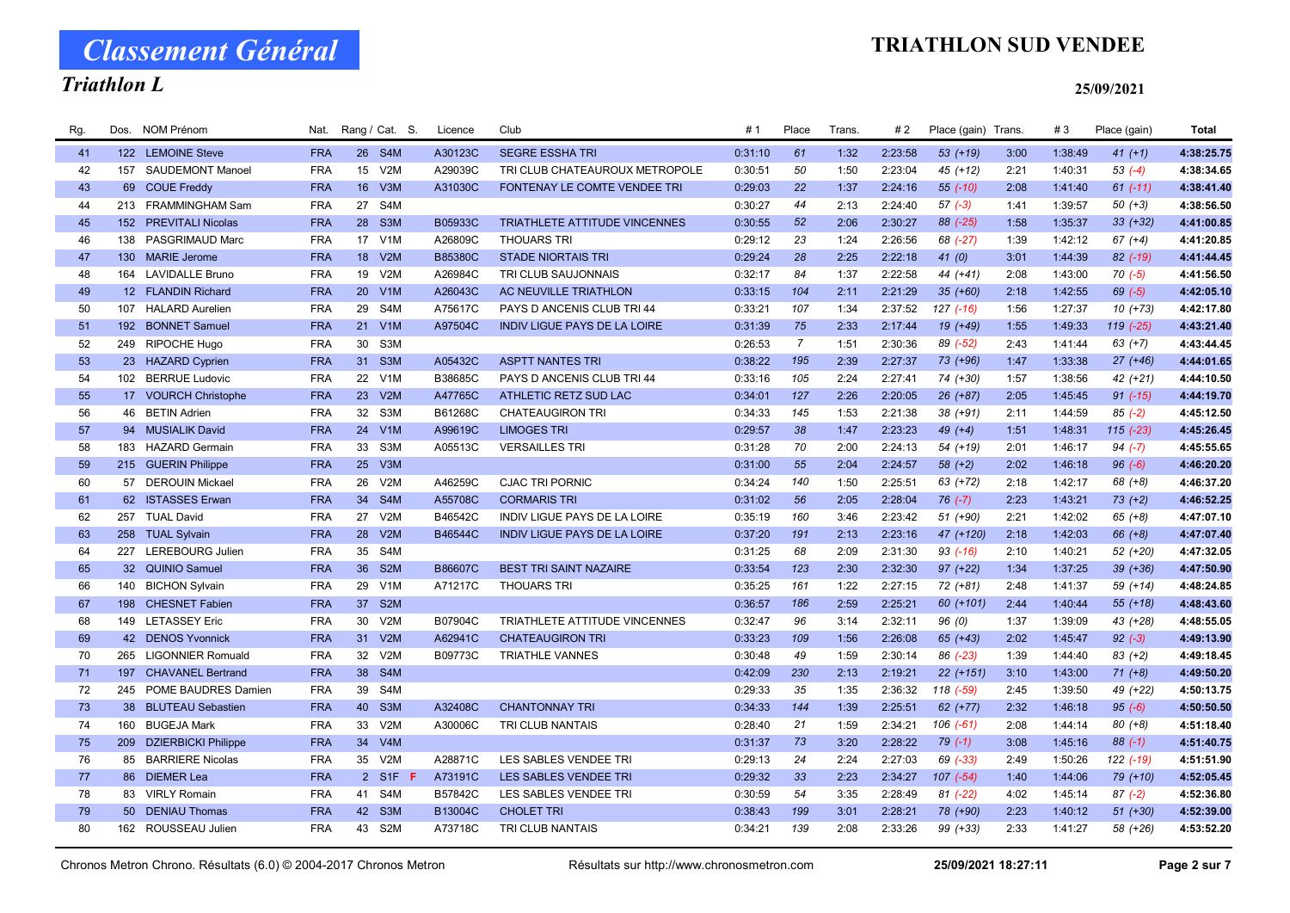# TRIATHLON SUD VENDEE

# Classement Général

# Triathlon L

| Rg. | Dos. | <b>NOM Prénom</b>       | Nat.       |                 | Rang / Cat. S.                | Licence        | Club                                 | #1      | Place          | Trans. | #2      | Place (gain) | Trans | #3      | Place (gain)  | <b>Total</b> |
|-----|------|-------------------------|------------|-----------------|-------------------------------|----------------|--------------------------------------|---------|----------------|--------|---------|--------------|-------|---------|---------------|--------------|
| 41  |      | 122 LEMOINE Steve       | <b>FRA</b> |                 | 26 S4M                        | A30123C        | <b>SEGRE ESSHA TRI</b>               | 0:31:10 | 61             | 1:32   | 2:23:58 | 53 (+19)     | 3:00  | 1:38:49 | $41 (+1)$     | 4:38:25.75   |
| 42  |      | 157 SAUDEMONT Manoel    | <b>FRA</b> | 15              | V2M                           | A29039C        | TRI CLUB CHATEAUROUX METROPOLE       | 0:30:51 | 50             | 1:50   | 2:23:04 | 45 (+12)     | 2:21  | 1:40:31 | $53(-4)$      | 4:38:34.65   |
| 43  |      | 69 COUE Freddy          | <b>FRA</b> | 16              | V3M                           | A31030C        | <b>FONTENAY LE COMTE VENDEE TRI</b>  | 0:29:03 | 22             | 1:37   | 2:24:16 | 55 (-10)     | 2:08  | 1:41:40 | $61$ $(-11)$  | 4:38:41.40   |
| 44  |      | 213 FRAMMINGHAM Sam     | <b>FRA</b> | 27              | S <sub>4</sub> M              |                |                                      | 0:30:27 | 44             | 2:13   | 2:24:40 | $57(-3)$     | 1:41  | 1:39:57 | $50(+3)$      | 4:38:56.50   |
| 45  |      | 152 PREVITALI Nicolas   | <b>FRA</b> |                 | 28 S3M                        | B05933C        | <b>TRIATHLETE ATTITUDE VINCENNES</b> | 0:30:55 | 52             | 2:06   | 2:30:27 | 88 (-25)     | 1:58  | 1:35:37 | $33 (+32)$    | 4:41:00.85   |
| 46  | 138  | PASGRIMAUD Marc         | <b>FRA</b> | 17              | V <sub>1</sub> M              | A26809C        | <b>THOUARS TRI</b>                   | 0:29:12 | 23             | 1:24   | 2:26:56 | 68 (-27)     | 1:39  | 1:42:12 | $67 (+4)$     | 4:41:20.85   |
| 47  |      | 130 MARIE Jerome        | <b>FRA</b> | 18              | V2M                           | <b>B85380C</b> | <b>STADE NIORTAIS TRI</b>            | 0:29:24 | 28             | 2:25   | 2:22:18 | 41(0)        | 3:01  | 1:44:39 | $82$ (-19)    | 4:41:44.45   |
| 48  |      | 164 LAVIDALLE Bruno     | <b>FRA</b> | 19              | V2M                           | A26984C        | TRI CLUB SAUJONNAIS                  | 0:32:17 | 84             | 1:37   | 2:22:58 | 44 (+41)     | 2:08  | 1:43:00 | $70(-5)$      | 4:41:56.50   |
| 49  |      | 12 FLANDIN Richard      | <b>FRA</b> | 20 <sup>°</sup> | V1M                           | A26043C        | AC NEUVILLE TRIATHLON                | 0:33:15 | 104            | 2:11   | 2:21:29 | $35(+60)$    | 2:18  | 1:42:55 | $69(-5)$      | 4:42:05.10   |
| 50  |      | 107 HALARD Aurelien     | <b>FRA</b> | 29              | S <sub>4</sub> M              | A75617C        | PAYS D ANCENIS CLUB TRI 44           | 0:33:21 | 107            | 1:34   | 2:37:52 | 127 (-16)    | 1:56  | 1:27:37 | $10(+73)$     | 4:42:17.80   |
| 51  |      | 192 BONNET Samuel       | <b>FRA</b> | 21              | V1M                           | A97504C        | <b>INDIV LIGUE PAYS DE LA LOIRE</b>  | 0:31:39 | 75             | 2:33   | 2:17:44 | 19 (+49)     | 1:55  | 1:49:33 | 119 (-25)     | 4:43:21.40   |
| 52  |      | 249 RIPOCHE Hugo        | <b>FRA</b> | 30              | S3M                           |                |                                      | 0:26:53 | $\overline{7}$ | 1:51   | 2:30:36 | 89 (-52)     | 2:43  | 1:41:44 | $63 (+7)$     | 4:43:44.45   |
| 53  |      | 23 HAZARD Cyprien       | <b>FRA</b> | 31              | S <sub>3</sub> M              | A05432C        | <b>ASPTT NANTES TRI</b>              | 0:38:22 | 195            | 2:39   | 2:27:37 | 73 (+96)     | 1:47  | 1:33:38 | $27 (+46)$    | 4:44:01.65   |
| 54  |      | 102 BERRUE Ludovic      | <b>FRA</b> | 22              | V <sub>1</sub> M              | B38685C        | PAYS D ANCENIS CLUB TRI 44           | 0:33:16 | 105            | 2:24   | 2:27:41 | 74 (+30)     | 1:57  | 1:38:56 | $42 (+21)$    | 4:44:10.50   |
| 55  |      | 17 VOURCH Christophe    | <b>FRA</b> | 23              | V2M                           | A47765C        | ATHLETIC RETZ SUD LAC                | 0:34:01 | 127            | 2:26   | 2:20:05 | 26 (+87)     | 2:05  | 1:45:45 | $91 (-15)$    | 4:44:19.70   |
| 56  |      | 46 BETIN Adrien         | <b>FRA</b> | 32              | S <sub>3</sub> M              | B61268C        | <b>CHATEAUGIRON TRI</b>              | 0:34:33 | 145            | 1:53   | 2:21:38 | 38 (+91)     | 2:11  | 1:44:59 | $85 (-2)$     | 4:45:12.50   |
| 57  |      | 94 MUSIALIK David       | <b>FRA</b> | 24              | V <sub>1</sub> M              | A99619C        | <b>LIMOGES TRI</b>                   | 0:29:57 | 38             | 1:47   | 2:23:23 | $49 (+4)$    | 1:51  | 1:48:31 | $115$ $(-23)$ | 4:45:26.45   |
| 58  | 183  | <b>HAZARD Germain</b>   | <b>FRA</b> | 33              | S <sub>3</sub> M              | A05513C        | <b>VERSAILLES TRI</b>                | 0:31:28 | 70             | 2:00   | 2:24:13 | 54 (+19)     | 2:01  | 1:46:17 | $94 (-7)$     | 4:45:55.65   |
| 59  |      | 215 GUERIN Philippe     | <b>FRA</b> |                 | 25 V3M                        |                |                                      | 0:31:00 | 55             | 2:04   | 2:24:57 | $58(+2)$     | 2:02  | 1:46:18 | $96 (-6)$     | 4:46:20.20   |
| 60  |      | 57 DEROUIN Mickael      | <b>FRA</b> | 26              | V2M                           | A46259C        | <b>CJAC TRI PORNIC</b>               | 0:34:24 | 140            | 1:50   | 2:25:51 | 63 (+72)     | 2:18  | 1:42:17 | $68 (+8)$     | 4:46:37.20   |
| 61  |      | 62 ISTASSES Erwan       | <b>FRA</b> | 34              | S4M                           | A55708C        | <b>CORMARIS TRI</b>                  | 0:31:02 | 56             | 2:05   | 2:28:04 | $76(-7)$     | 2:23  | 1:43:21 | $73 (+2)$     | 4:46:52.25   |
| 62  |      | 257 TUAL David          | <b>FRA</b> | 27              | V2M                           | B46542C        | INDIV LIGUE PAYS DE LA LOIRE         | 0:35:19 | 160            | 3:46   | 2:23:42 | $51 (+90)$   | 2:21  | 1:42:02 | $65 (+8)$     | 4:47:07.10   |
| 63  |      | 258 TUAL Sylvain        | <b>FRA</b> | 28              | V2M                           | B46544C        | <b>INDIV LIGUE PAYS DE LA LOIRE</b>  | 0:37:20 | 191            | 2:13   | 2:23:16 | 47 (+120)    | 2:18  | 1:42:03 | $66 (+8)$     | 4:47:07.40   |
| 64  |      | 227 LEREBOURG Julien    | <b>FRA</b> | 35              | S <sub>4</sub> M              |                |                                      | 0:31:25 | 68             | 2:09   | 2:31:30 | $93$ $(-16)$ | 2:10  | 1:40:21 | 52 (+20)      | 4:47:32.05   |
| 65  |      | 32 QUINIO Samuel        | <b>FRA</b> | 36              | S <sub>2</sub> M              | B86607C        | <b>BEST TRI SAINT NAZAIRE</b>        | 0:33:54 | 123            | 2:30   | 2:32:30 | 97 (+22)     | 1:34  | 1:37:25 | $39 (+36)$    | 4:47:50.90   |
| 66  |      | 140 BICHON Sylvain      | <b>FRA</b> | 29              | V <sub>1</sub> M              | A71217C        | THOUARS TRI                          | 0:35:25 | 161            | 1:22   | 2:27:15 | $72(+81)$    | 2:48  | 1:41:37 | 59 (+14)      | 4:48:24.85   |
| 67  |      | 198 CHESNET Fabien      | <b>FRA</b> | 37              | S <sub>2</sub> M              |                |                                      | 0:36:57 | 186            | 2:59   | 2:25:21 | 60 (+101)    | 2:44  | 1:40:44 | $55(+18)$     | 4:48:43.60   |
| 68  |      | 149 LETASSEY Eric       | <b>FRA</b> | 30              | V2M                           | B07904C        | TRIATHLETE ATTITUDE VINCENNES        | 0:32:47 | 96             | 3:14   | 2:32:11 | 96(0)        | 1:37  | 1:39:09 | 43 (+28)      | 4:48:55.05   |
| 69  |      | 42 DENOS Yvonnick       | <b>FRA</b> | 31              | V2M                           | A62941C        | <b>CHATEAUGIRON TRI</b>              | 0:33:23 | 109            | 1:56   | 2:26:08 | $65 (+43)$   | 2:02  | 1:45:47 | $92 (-3)$     | 4:49:13.90   |
| 70  |      | 265 LIGONNIER Romuald   | <b>FRA</b> | 32              | V2M                           | B09773C        | <b>TRIATHLE VANNES</b>               | 0:30:48 | 49             | 1:59   | 2:30:14 | 86 (-23)     | 1:39  | 1:44:40 | $83 (+2)$     | 4:49:18.45   |
| 71  |      | 197 CHAVANEL Bertrand   | <b>FRA</b> | 38              | S <sub>4</sub> M              |                |                                      | 0:42:09 | 230            | 2:13   | 2:19:21 | $22 (+151)$  | 3:10  | 1:43:00 | $71 (+8)$     | 4:49:50.20   |
| 72  |      | 245 POME BAUDRES Damien | <b>FRA</b> | 39              | S <sub>4</sub> M              |                |                                      | 0:29:33 | 35             | 1:35   | 2:36:32 | 118 (-59)    | 2:45  | 1:39:50 | 49 (+22)      | 4:50:13.75   |
| 73  |      | 38 BLUTEAU Sebastien    | <b>FRA</b> | 40              | S <sub>3</sub> M              | A32408C        | <b>CHANTONNAY TRI</b>                | 0:34:33 | 144            | 1:39   | 2:25:51 | 62 (+77)     | 2:32  | 1:46:18 | $95(-6)$      | 4:50:50.50   |
| 74  | 160  | <b>BUGEJA Mark</b>      | <b>FRA</b> | 33              | V2M                           | A30006C        | TRI CLUB NANTAIS                     | 0:28:40 | 21             | 1:59   | 2:34:21 | $106(-61)$   | 2:08  | 1:44:14 | $80 (+8)$     | 4:51:18.40   |
| 75  |      | 209 DZIERBICKI Philippe | <b>FRA</b> | 34              | V4M                           |                |                                      | 0:31:37 | 73             | 3:20   | 2:28:22 | $79(-1)$     | 3:08  | 1:45:16 | $88(-1)$      | 4:51:40.75   |
| 76  | 85   | <b>BARRIERE Nicolas</b> | <b>FRA</b> | 35              | V2M                           | A28871C        | LES SABLES VENDEE TRI                | 0:29:13 | 24             | 2:24   | 2:27:03 | 69 (-33)     | 2:49  | 1:50:26 | 122 (-19)     | 4:51:51.90   |
| 77  |      | 86 DIEMER Lea           | <b>FRA</b> | $2^{\circ}$     | S <sub>1</sub> F <sub>F</sub> | A73191C        | LES SABLES VENDEE TRI                | 0:29:32 | 33             | 2:23   | 2:34:27 | $107 (-54)$  | 1:40  | 1:44:06 | 79 (+10)      | 4:52:05.45   |
| 78  |      | 83 VIRLY Romain         | <b>FRA</b> | 41              | S4M                           | B57842C        | LES SABLES VENDEE TRI                | 0:30:59 | 54             | 3:35   | 2:28:49 | $81 (-22)$   | 4:02  | 1:45:14 | $87(-2)$      | 4:52:36.80   |
| 79  |      | 50 DENIAU Thomas        | <b>FRA</b> | 42              | S <sub>3</sub> M              | B13004C        | <b>CHOLET TRI</b>                    | 0:38:43 | 199            | 3:01   | 2:28:21 | 78 (+90)     | 2:23  | 1:40:12 | $51 (+30)$    | 4:52:39.00   |
| 80  |      | 162 ROUSSEAU Julien     | <b>FRA</b> | 43              | S <sub>2</sub> M              | A73718C        | TRI CLUB NANTAIS                     | 0:34:21 | 139            | 2:08   | 2:33:26 | 99 (+33)     | 2:33  | 1:41:27 | 58 (+26)      | 4:53:52.20   |
|     |      |                         |            |                 |                               |                |                                      |         |                |        |         |              |       |         |               |              |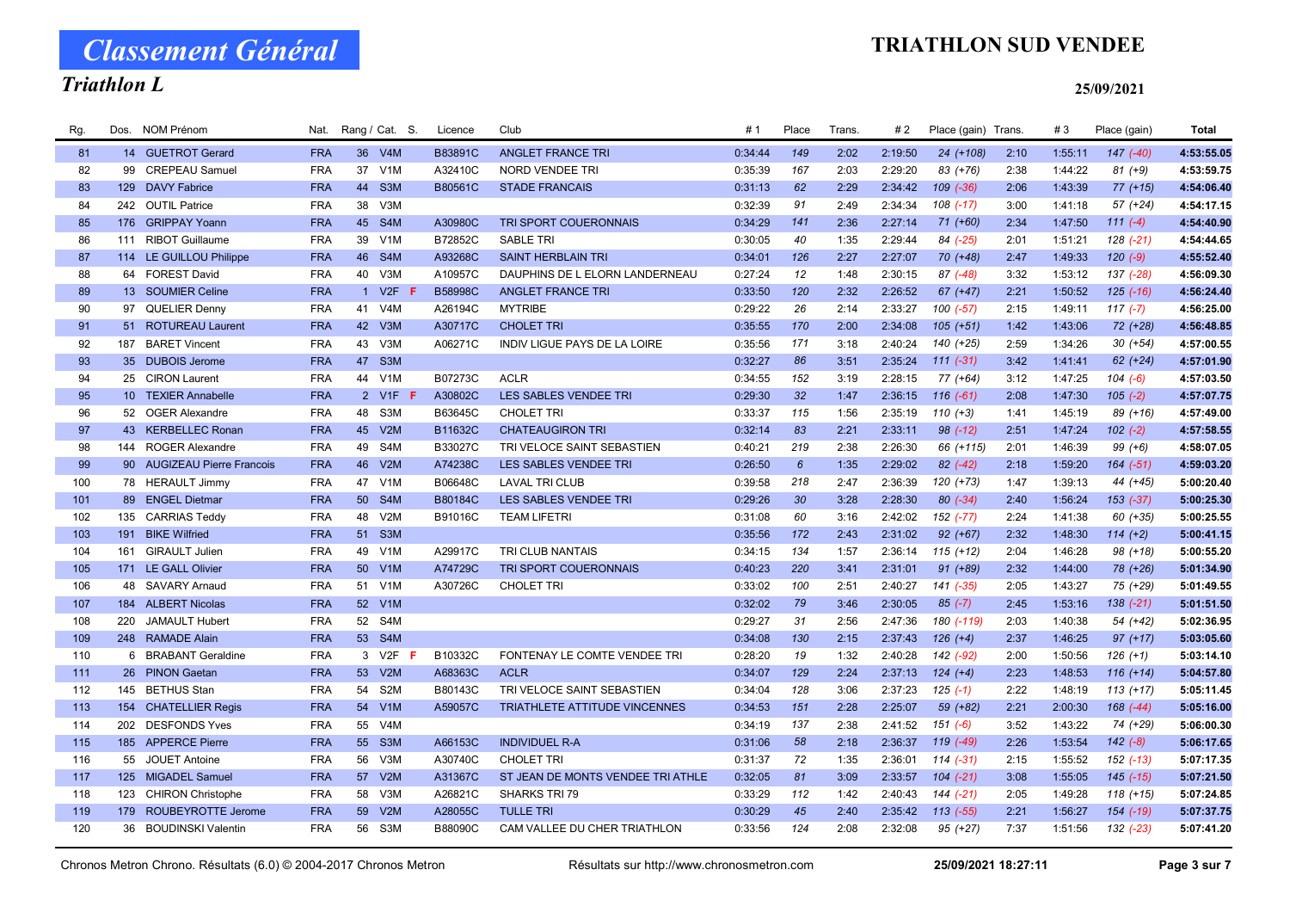# Triathlon L

## TRIATHLON SUD VENDEE

### 25/09/2021

| Rg. | Dos. | <b>NOM Prénom</b>           | Nat.       |                 | Rang / Cat. S.   | Licence | Club                              | # 1     | Place           | Trans. | # 2     | Place (gain) Trans. |      | #3      | Place (gain)  | <b>Total</b> |
|-----|------|-----------------------------|------------|-----------------|------------------|---------|-----------------------------------|---------|-----------------|--------|---------|---------------------|------|---------|---------------|--------------|
| 81  |      | 14 GUETROT Gerard           | <b>FRA</b> |                 | 36 V4M           | B83891C | <b>ANGLET FRANCE TRI</b>          | 0:34:44 | 149             | 2:02   | 2:19:50 | 24 (+108)           | 2:10 | 1:55:11 | $147$ $(-40)$ | 4:53:55.05   |
| 82  |      | 99 CREPEAU Samuel           | <b>FRA</b> | 37              | V <sub>1</sub> M | A32410C | <b>NORD VENDEE TRI</b>            | 0:35:39 | 167             | 2:03   | 2:29:20 | 83 (+76)            | 2:38 | 1:44:22 | $81 (+9)$     | 4:53:59.75   |
| 83  |      | 129 DAVY Fabrice            | <b>FRA</b> | 44              | S <sub>3</sub> M | B80561C | <b>STADE FRANCAIS</b>             | 0:31:13 | 62              | 2:29   | 2:34:42 | $109$ $(-36)$       | 2:06 | 1:43:39 | $77 (+15)$    | 4:54:06.40   |
| 84  | 242  | <b>OUTIL Patrice</b>        | <b>FRA</b> | 38              | V3M              |         |                                   | 0:32:39 | 91              | 2:49   | 2:34:34 | $108$ $(-17)$       | 3:00 | 1:41:18 | $57 (+24)$    | 4:54:17.15   |
| 85  |      | 176 GRIPPAY Yoann           | <b>FRA</b> |                 | 45 S4M           | A30980C | TRI SPORT COUERONNAIS             | 0:34:29 | 141             | 2:36   | 2:27:14 | 71 (+60)            | 2:34 | 1:47:50 | $111(-4)$     | 4:54:40.90   |
| 86  |      | 111 RIBOT Guillaume         | <b>FRA</b> | 39              | V <sub>1</sub> M | B72852C | <b>SABLE TRI</b>                  | 0:30:05 | 40              | 1:35   | 2:29:44 | 84 (-25)            | 2:01 | 1:51:21 | $128$ $(-21)$ | 4:54:44.65   |
| 87  |      | 114 LE GUILLOU Philippe     | <b>FRA</b> | 46              | S4M              | A93268C | <b>SAINT HERBLAIN TRI</b>         | 0:34:01 | 126             | 2:27   | 2:27:07 | 70 (+48)            | 2:47 | 1:49:33 | $120(-9)$     | 4:55:52.40   |
| 88  |      | 64 FOREST David             | <b>FRA</b> | 40              | V <sub>3</sub> M | A10957C | DAUPHINS DE L ELORN LANDERNEAU    | 0:27:24 | 12              | 1:48   | 2:30:15 | $87$ $(-48)$        | 3:32 | 1:53:12 | 137 (-28)     | 4:56:09.30   |
| 89  |      | 13 SOUMIER Celine           | <b>FRA</b> | $\mathbf{1}$    | V2F              | B58998C | <b>ANGLET FRANCE TRI</b>          | 0:33:50 | 120             | 2:32   | 2:26:52 | $67 (+47)$          | 2:21 | 1:50:52 | $125$ $(-16)$ | 4:56:24.40   |
| 90  |      | 97 QUELIER Denny            | <b>FRA</b> | 41              | V <sub>4</sub> M | A26194C | <b>MYTRIBE</b>                    | 0:29:22 | 26              | 2:14   | 2:33:27 | $100(-57)$          | 2:15 | 1:49:11 | 117 $(-7)$    | 4:56:25.00   |
| 91  |      | 51 ROTUREAU Laurent         | <b>FRA</b> | 42              | V <sub>3</sub> M | A30717C | <b>CHOLET TRI</b>                 | 0:35:55 | 170             | 2:00   | 2:34:08 | $105 (+51)$         | 1:42 | 1:43:06 | 72 (+28)      | 4:56:48.85   |
| 92  |      | 187 BARET Vincent           | <b>FRA</b> | 43              | V3M              | A06271C | INDIV LIGUE PAYS DE LA LOIRE      | 0:35:56 | 171             | 3:18   | 2:40:24 | 140 (+25)           | 2:59 | 1:34:26 | $30 (+54)$    | 4:57:00.55   |
| 93  |      | 35 DUBOIS Jerome            | <b>FRA</b> | 47              | S <sub>3</sub> M |         |                                   | 0:32:27 | 86              | 3:51   | 2:35:24 | $111 (-31)$         | 3:42 | 1:41:41 | $62 (+24)$    | 4:57:01.90   |
| 94  | 25   | <b>CIRON Laurent</b>        | <b>FRA</b> | 44              | V <sub>1</sub> M | B07273C | <b>ACLR</b>                       | 0:34:55 | 152             | 3:19   | 2:28:15 | 77 (+64)            | 3:12 | 1:47:25 | $104 (-6)$    | 4:57:03.50   |
| 95  |      | 10 TEXIER Annabelle         | <b>FRA</b> |                 | 2 V1F<br>-F      | A30802C | <b>LES SABLES VENDEE TRI</b>      | 0:29:30 | 32              | 1:47   | 2:36:15 | $116(-61)$          | 2:08 | 1:47:30 | $105$ $(-2)$  | 4:57:07.75   |
| 96  |      | 52 OGER Alexandre           | <b>FRA</b> | 48              | S3M              | B63645C | <b>CHOLET TRI</b>                 | 0:33:37 | 115             | 1:56   | 2:35:19 | $110 (+3)$          | 1:41 | 1:45:19 | 89 (+16)      | 4:57:49.00   |
| 97  |      | 43 KERBELLEC Ronan          | <b>FRA</b> | 45              | V2M              | B11632C | <b>CHATEAUGIRON TRI</b>           | 0:32:14 | 83              | 2:21   | 2:33:11 | $98$ $(-12)$        | 2:51 | 1:47:24 | $102 (-2)$    | 4:57:58.55   |
| 98  |      | 144 ROGER Alexandre         | <b>FRA</b> | 49              | S4M              | B33027C | TRI VELOCE SAINT SEBASTIEN        | 0:40:21 | 219             | 2:38   | 2:26:30 | 66 (+115)           | 2:01 | 1:46:39 | $99 (+6)$     | 4:58:07.05   |
| 99  |      | 90 AUGIZEAU Pierre Francois | <b>FRA</b> | 46              | V2M              | A74238C | LES SABLES VENDEE TRI             | 0:26:50 | $6\overline{6}$ | 1:35   | 2:29:02 | 82 (-42)            | 2:18 | 1:59:20 | $164$ $(-51)$ | 4:59:03.20   |
| 100 |      | 78 HERAULT Jimmy            | <b>FRA</b> | 47              | V1M              | B06648C | <b>LAVAL TRI CLUB</b>             | 0:39:58 | 218             | 2:47   | 2:36:39 | $120 (+73)$         | 1:47 | 1:39:13 | 44 (+45)      | 5:00:20.40   |
| 101 |      | 89 ENGEL Dietmar            | <b>FRA</b> | 50 <sub>2</sub> | S4M              | B80184C | LES SABLES VENDEE TRI             | 0:29:26 | 30              | 3:28   | 2:28:30 | $80 (-34)$          | 2:40 | 1:56:24 | 153 (-37)     | 5:00:25.30   |
| 102 |      | 135 CARRIAS Teddy           | <b>FRA</b> | 48              | V2M              | B91016C | <b>TEAM LIFETRI</b>               | 0:31:08 | 60              | 3:16   | 2:42:02 | 152 (-77)           | 2:24 | 1:41:38 | 60 (+35)      | 5:00:25.55   |
| 103 | 191  | <b>BIKE Wilfried</b>        | <b>FRA</b> | 51              | S <sub>3</sub> M |         |                                   | 0:35:56 | 172             | 2:43   | 2:31:02 | $92 (+67)$          | 2:32 | 1:48:30 | $114 (+2)$    | 5:00:41.15   |
| 104 | 161  | <b>GIRAULT Julien</b>       | <b>FRA</b> | 49              | V1M              | A29917C | TRI CLUB NANTAIS                  | 0:34:15 | 134             | 1:57   | 2:36:14 | $115 (+12)$         | 2:04 | 1:46:28 | 98 (+18)      | 5:00:55.20   |
| 105 |      | 171 LE GALL Olivier         | <b>FRA</b> |                 | 50 V1M           | A74729C | <b>TRI SPORT COUERONNAIS</b>      | 0:40:23 | 220             | 3:41   | 2:31:01 | $91 (+89)$          | 2:32 | 1:44:00 | 78 (+26)      | 5:01:34.90   |
| 106 |      | 48 SAVARY Arnaud            | <b>FRA</b> | 51              | V <sub>1</sub> M | A30726C | <b>CHOLET TRI</b>                 | 0:33:02 | 100             | 2:51   | 2:40:27 | 141 (-35)           | 2:05 | 1:43:27 | 75 (+29)      | 5:01:49.55   |
| 107 |      | 184 ALBERT Nicolas          | <b>FRA</b> | 52              | V1M              |         |                                   | 0:32:02 | 79              | 3:46   | 2:30:05 | $85(-7)$            | 2:45 | 1:53:16 | $138 (-21)$   | 5:01:51.50   |
| 108 | 220  | <b>JAMAULT Hubert</b>       | <b>FRA</b> | 52              | S4M              |         |                                   | 0:29:27 | 31              | 2:56   | 2:47:36 | 180 (-119)          | 2:03 | 1:40:38 | 54 (+42)      | 5:02:36.95   |
| 109 |      | 248 RAMADE Alain            | <b>FRA</b> |                 | 53 S4M           |         |                                   | 0:34:08 | 130             | 2:15   | 2:37:43 | $126 (+4)$          | 2:37 | 1:46:25 | $97 (+17)$    | 5:03:05.60   |
| 110 |      | 6 BRABANT Geraldine         | <b>FRA</b> |                 | 3 V2F            | B10332C | FONTENAY LE COMTE VENDEE TRI      | 0:28:20 | 19              | 1:32   | 2:40:28 | 142 (-92)           | 2:00 | 1:50:56 | $126 (+1)$    | 5:03:14.10   |
| 111 |      | 26 PINON Gaetan             | <b>FRA</b> | 53              | V2M              | A68363C | <b>ACLR</b>                       | 0:34:07 | 129             | 2:24   | 2:37:13 | $124 (+4)$          | 2:23 | 1:48:53 | $116 (+14)$   | 5:04:57.80   |
| 112 |      | 145 BETHUS Stan             | <b>FRA</b> | 54              | S <sub>2</sub> M | B80143C | TRI VELOCE SAINT SEBASTIEN        | 0:34:04 | 128             | 3:06   | 2:37:23 | $125$ (-1)          | 2:22 | 1:48:19 | $113 (+17)$   | 5:05:11.45   |
| 113 |      | 154 CHATELLIER Regis        | <b>FRA</b> | 54              | V1M              | A59057C | TRIATHLETE ATTITUDE VINCENNES     | 0:34:53 | 151             | 2:28   | 2:25:07 | 59 (+82)            | 2:21 | 2:00:30 | $168$ $(-44)$ | 5:05:16.00   |
| 114 |      | 202 DESFONDS Yves           | <b>FRA</b> | 55              | V4M              |         |                                   | 0:34:19 | 137             | 2:38   | 2:41:52 | $151 (-6)$          | 3:52 | 1:43:22 | 74 (+29)      | 5:06:00.30   |
| 115 |      | 185 APPERCE Pierre          | <b>FRA</b> |                 | 55 S3M           | A66153C | <b>INDIVIDUEL R-A</b>             | 0:31:06 | 58              | 2:18   | 2:36:37 | 119 (-49)           | 2:26 | 1:53:54 | $142 (-8)$    | 5:06:17.65   |
| 116 |      | 55 JOUET Antoine            | <b>FRA</b> | 56              | V3M              | A30740C | <b>CHOLET TRI</b>                 | 0:31:37 | 72              | 1:35   | 2:36:01 | $114(-31)$          | 2:15 | 1:55:52 | $152$ $(-13)$ | 5:07:17.35   |
| 117 |      | 125 MIGADEL Samuel          | <b>FRA</b> | 57              | V2M              | A31367C | ST JEAN DE MONTS VENDEE TRI ATHLE | 0:32:05 | 81              | 3:09   | 2:33:57 | $104$ $(-21)$       | 3:08 | 1:55:05 | $145$ $(-15)$ | 5:07:21.50   |
| 118 | 123  | <b>CHIRON Christophe</b>    | <b>FRA</b> | 58              | V3M              | A26821C | SHARKS TRI 79                     | 0:33:29 | 112             | 1:42   | 2:40:43 | $144 (-21)$         | 2:05 | 1:49:28 | $118 (+15)$   | 5:07:24.85   |
| 119 |      | 179 ROUBEYROTTE Jerome      | <b>FRA</b> | 59              | V2M              | A28055C | <b>TULLE TRI</b>                  | 0:30:29 | 45              | 2:40   | 2:35:42 | $113$ $(-55)$       | 2:21 | 1:56:27 | $154$ $(-19)$ | 5:07:37.75   |
| 120 |      | 36 BOUDINSKI Valentin       | <b>FRA</b> | 56              | S3M              | B88090C | CAM VALLEE DU CHER TRIATHLON      | 0:33:56 | 124             | 2:08   | 2:32:08 | $95 (+27)$          | 7:37 | 1:51:56 | $132$ $(-23)$ | 5:07:41.20   |

Chronos Metron Chrono. Résultats (6.0) © 2004-2017 Chronos Metron Résultats sur http://www.chronosmetron.com 25/09/2021 18:27:11 Page 3 sur 7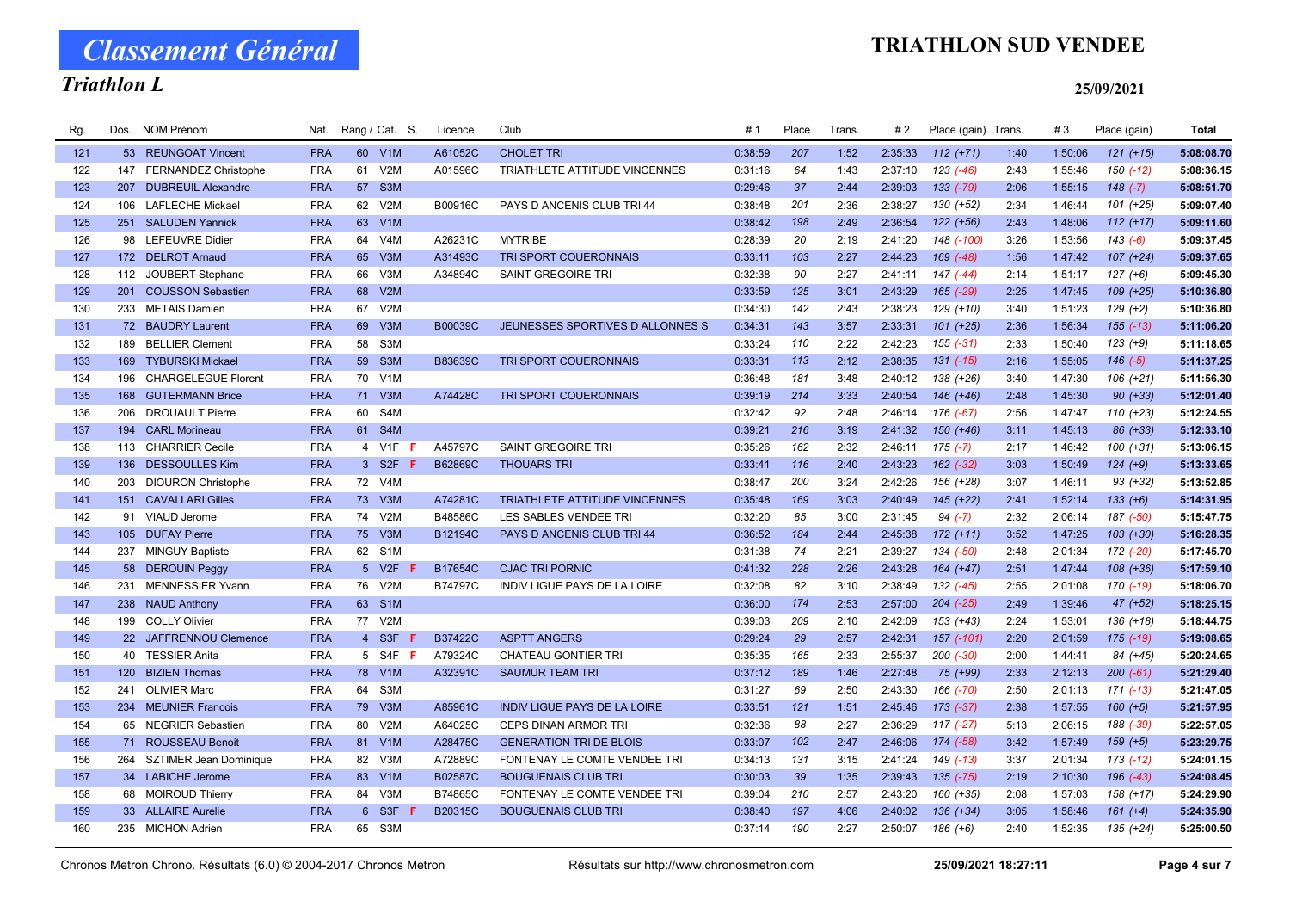# TRIATHLON SUD VENDEE

# Classement Général Triathlon L

### 25/09/2021

| Rg. | Dos. | <b>NOM Prénom</b>          | Nat.       | Rang / Cat. S. |                       | Licence        | Club                                | #1      | Place | Trans | # 2     | Place (gain) Trans. |      | #3      | Place (gain)  | Total      |
|-----|------|----------------------------|------------|----------------|-----------------------|----------------|-------------------------------------|---------|-------|-------|---------|---------------------|------|---------|---------------|------------|
| 121 |      | 53 REUNGOAT Vincent        | <b>FRA</b> | 60 V1M         |                       | A61052C        | <b>CHOLET TRI</b>                   | 0:38:59 | 207   | 1:52  | 2:35:33 | $112 (+71)$         | 1:40 | 1:50:06 | $121 (+15)$   | 5:08:08.70 |
| 122 |      | 147 FERNANDEZ Christophe   | <b>FRA</b> | 61             | V2M                   | A01596C        | TRIATHLETE ATTITUDE VINCENNES       | 0:31:16 | 64    | 1:43  | 2:37:10 | $123$ $(-46)$       | 2:43 | 1:55:46 | $150(-12)$    | 5:08:36.15 |
| 123 | 207  | <b>DUBREUIL Alexandre</b>  | <b>FRA</b> | 57             | S <sub>3</sub> M      |                |                                     | 0:29:46 | 37    | 2:44  | 2:39:03 | 133 (-79)           | 2:06 | 1:55:15 | $148$ $(-7)$  | 5:08:51.70 |
| 124 | 106  | <b>LAFLECHE Mickael</b>    | <b>FRA</b> | 62             | V2M                   | B00916C        | PAYS D ANCENIS CLUB TRI 44          | 0:38:48 | 201   | 2:36  | 2:38:27 | 130 (+52)           | 2:34 | 1:46:44 | $101 (+25)$   | 5:09:07.40 |
| 125 |      | 251 SALUDEN Yannick        | <b>FRA</b> | 63             | V1M                   |                |                                     | 0:38:42 | 198   | 2:49  | 2:36:54 | $122 (+56)$         | 2:43 | 1:48:06 | $112 (+17)$   | 5:09:11.60 |
| 126 |      | 98 LEFEUVRE Didier         | <b>FRA</b> | 64             | V4M                   | A26231C        | <b>MYTRIBE</b>                      | 0:28:39 | 20    | 2:19  | 2:41:20 | 148 (-100)          | 3:26 | 1:53:56 | $143(-6)$     | 5:09:37.45 |
| 127 |      | 172 DELROT Arnaud          | <b>FRA</b> | 65             | V3M                   | A31493C        | TRI SPORT COUERONNAIS               | 0:33:11 | 103   | 2:27  | 2:44:23 | $169$ $(-48)$       | 1:56 | 1:47:42 | $107 (+24)$   | 5:09:37.65 |
| 128 | 112  | JOUBERT Stephane           | <b>FRA</b> | 66             | V3M                   | A34894C        | SAINT GREGOIRE TRI                  | 0:32:38 | 90    | 2:27  | 2:41:11 | $147$ $(-44)$       | 2:14 | 1:51:17 | $127 (+6)$    | 5:09:45.30 |
| 129 |      | 201 COUSSON Sebastien      | <b>FRA</b> | 68             | V2M                   |                |                                     | 0:33:59 | 125   | 3:01  | 2:43:29 | 165 (-29)           | 2:25 | 1:47:45 | 109 (+25)     | 5:10:36.80 |
| 130 |      | 233 METAIS Damien          | <b>FRA</b> | 67             | V2M                   |                |                                     | 0:34:30 | 142   | 2:43  | 2:38:23 | 129 (+10)           | 3:40 | 1:51:23 | $129 (+2)$    | 5:10:36.80 |
| 131 |      | 72 BAUDRY Laurent          | <b>FRA</b> | 69             | V3M                   | B00039C        | JEUNESSES SPORTIVES D ALLONNES S    | 0:34:31 | 143   | 3:57  | 2:33:31 | $101 (+25)$         | 2:36 | 1:56:34 | $155(-13)$    | 5:11:06.20 |
| 132 | 189  | <b>BELLIER Clement</b>     | <b>FRA</b> | 58             | S3M                   |                |                                     | 0:33:24 | 110   | 2:22  | 2:42:23 | $155(-31)$          | 2:33 | 1:50:40 | $123 (+9)$    | 5:11:18.65 |
| 133 | 169  | <b>TYBURSKI Mickael</b>    | <b>FRA</b> | 59             | S <sub>3</sub> M      | B83639C        | TRI SPORT COUERONNAIS               | 0:33:31 | 113   | 2:12  | 2:38:35 | $131 (-15)$         | 2:16 | 1:55:05 | $146(-5)$     | 5:11:37.25 |
| 134 | 196  | <b>CHARGELEGUE Florent</b> | <b>FRA</b> | 70             | V <sub>1</sub> M      |                |                                     | 0:36:48 | 181   | 3:48  | 2:40:12 | 138 (+26)           | 3:40 | 1:47:30 | $106 (+21)$   | 5:11:56.30 |
| 135 | 168  | <b>GUTERMANN Brice</b>     | <b>FRA</b> | 71             | V3M                   | A74428C        | TRI SPORT COUERONNAIS               | 0:39:19 | 214   | 3:33  | 2:40:54 | 146 (+46)           | 2:48 | 1:45:30 | $90 (+33)$    | 5:12:01.40 |
| 136 | 206  | <b>DROUAULT Pierre</b>     | <b>FRA</b> | 60             | S4M                   |                |                                     | 0:32:42 | 92    | 2:48  | 2:46:14 | 176 (-67)           | 2:56 | 1:47:47 | $110 (+23)$   | 5:12:24.55 |
| 137 |      | 194 CARL Morineau          | <b>FRA</b> | 61 S4M         |                       |                |                                     | 0:39:21 | 216   | 3:19  | 2:41:32 | $150 (+46)$         | 3:11 | 1:45:13 | 86 (+33)      | 5:12:33.10 |
| 138 | 113  | <b>CHARRIER Cecile</b>     | <b>FRA</b> | $\overline{4}$ | V <sub>1</sub> F<br>F | A45797C        | SAINT GREGOIRE TRI                  | 0:35:26 | 162   | 2:32  | 2:46:11 | $175$ $(-7)$        | 2:17 | 1:46:42 | $100 (+31)$   | 5:13:06.15 |
| 139 |      | 136 DESSOULLES Kim         | <b>FRA</b> |                | 3 S2F<br>-F           | B62869C        | <b>THOUARS TRI</b>                  | 0:33:41 | 116   | 2:40  | 2:43:23 | $162$ (-32)         | 3:03 | 1:50:49 | $124 (+9)$    | 5:13:33.65 |
| 140 | 203  | <b>DIOURON Christophe</b>  | <b>FRA</b> | 72             | V4M                   |                |                                     | 0:38:47 | 200   | 3:24  | 2:42:26 | 156 (+28)           | 3:07 | 1:46:11 | $93 (+32)$    | 5:13:52.85 |
| 141 |      | 151 CAVALLARI Gilles       | <b>FRA</b> | 73             | V3M                   | A74281C        | TRIATHLETE ATTITUDE VINCENNES       | 0:35:48 | 169   | 3:03  | 2:40:49 | $145 (+22)$         | 2:41 | 1:52:14 | $133 (+6)$    | 5:14:31.95 |
| 142 |      | 91 VIAUD Jerome            | <b>FRA</b> | 74             | V2M                   | B48586C        | LES SABLES VENDEE TRI               | 0:32:20 | 85    | 3:00  | 2:31:45 | $94 (-7)$           | 2:32 | 2:06:14 | 187 (-50)     | 5:15:47.75 |
| 143 | 105  | <b>DUFAY Pierre</b>        | <b>FRA</b> | 75             | V3M                   | B12194C        | PAYS D ANCENIS CLUB TRI 44          | 0:36:52 | 184   | 2:44  | 2:45:38 | $172 (+11)$         | 3:52 | 1:47:25 | $103 (+30)$   | 5:16:28.35 |
| 144 | 237  | <b>MINGUY Baptiste</b>     | <b>FRA</b> | 62             | S <sub>1</sub> M      |                |                                     | 0:31:38 | 74    | 2:21  | 2:39:27 | 134 (-50)           | 2:48 | 2:01:34 | 172 (-20)     | 5:17:45.70 |
| 145 |      | 58 DEROUIN Peggy           | <b>FRA</b> | 5 V2F          |                       | B17654C        | <b>CJAC TRI PORNIC</b>              | 0:41:32 | 228   | 2:26  | 2:43:28 | $164 (+47)$         | 2:51 | 1:47:44 | $108 (+36)$   | 5:17:59.10 |
| 146 | 231  | <b>MENNESSIER Yvann</b>    | <b>FRA</b> | 76             | V2M                   | B74797C        | INDIV LIGUE PAYS DE LA LOIRE        | 0:32:08 | 82    | 3:10  | 2:38:49 | $132( -45)$         | 2:55 | 2:01:08 | 170 (-19)     | 5:18:06.70 |
| 147 |      | 238 NAUD Anthony           | <b>FRA</b> | 63             | S <sub>1</sub> M      |                |                                     | 0:36:00 | 174   | 2:53  | 2:57:00 | $204$ $(-25)$       | 2:49 | 1:39:46 | 47 (+52)      | 5:18:25.15 |
| 148 | 199  | <b>COLLY Olivier</b>       | <b>FRA</b> | 77             | V2M                   |                |                                     | 0:39:03 | 209   | 2:10  | 2:42:09 | 153 (+43)           | 2:24 | 1:53:01 | $136 (+18)$   | 5:18:44.75 |
| 149 |      | 22 JAFFRENNOU Clemence     | <b>FRA</b> | 4 S3F          | -F                    | <b>B37422C</b> | <b>ASPTT ANGERS</b>                 | 0:29:24 | 29    | 2:57  | 2:42:31 | 157 (-101)          | 2:20 | 2:01:59 | $175$ (-19)   | 5:19:08.65 |
| 150 |      | 40 TESSIER Anita           | <b>FRA</b> |                | 5 S4F <b>F</b>        | A79324C        | <b>CHATEAU GONTIER TRI</b>          | 0:35:35 | 165   | 2:33  | 2:55:37 | $200 (-30)$         | 2:00 | 1:44:41 | 84 (+45)      | 5:20:24.65 |
| 151 |      | 120 BIZIEN Thomas          | <b>FRA</b> | 78             | V1M                   | A32391C        | <b>SAUMUR TEAM TRI</b>              | 0:37:12 | 189   | 1:46  | 2:27:48 | 75 (+99)            | 2:33 | 2:12:13 | $200(-61)$    | 5:21:29.40 |
| 152 | 241  | <b>OLIVIER Marc</b>        | <b>FRA</b> | 64             | S <sub>3</sub> M      |                |                                     | 0:31:27 | 69    | 2:50  | 2:43:30 | 166 (-70)           | 2:50 | 2:01:13 | $171$ $(-13)$ | 5:21:47.05 |
| 153 |      | 234 MEUNIER Francois       | <b>FRA</b> | 79             | V3M                   | A85961C        | <b>INDIV LIGUE PAYS DE LA LOIRE</b> | 0:33:51 | 121   | 1:51  | 2:45:46 | $173$ $(-37)$       | 2:38 | 1:57:55 | $160 (+5)$    | 5:21:57.95 |
| 154 |      | 65 NEGRIER Sebastien       | <b>FRA</b> | 80             | V2M                   | A64025C        | <b>CEPS DINAN ARMOR TRI</b>         | 0:32:36 | 88    | 2:27  | 2:36:29 | $117(-27)$          | 5:13 | 2:06:15 | 188 (-39)     | 5:22:57.05 |
| 155 |      | 71 ROUSSEAU Benoit         | <b>FRA</b> | 81             | V1M                   | A28475C        | <b>GENERATION TRI DE BLOIS</b>      | 0:33:07 | 102   | 2:47  | 2:46:06 | 174 (-58)           | 3:42 | 1:57:49 | $159 (+5)$    | 5:23:29.75 |
| 156 |      | 264 SZTIMER Jean Dominique | <b>FRA</b> | 82             | V3M                   | A72889C        | FONTENAY LE COMTE VENDEE TRI        | 0:34:13 | 131   | 3:15  | 2:41:24 | 149 (-13)           | 3:37 | 2:01:34 | $173$ $(-12)$ | 5:24:01.15 |
| 157 |      | 34 LABICHE Jerome          | <b>FRA</b> | 83             | V1M                   | B02587C        | <b>BOUGUENAIS CLUB TRI</b>          | 0:30:03 | 39    | 1:35  | 2:39:43 | $135$ (-75)         | 2:19 | 2:10:30 | $196 (-43)$   | 5:24:08.45 |
| 158 |      | 68 MOIROUD Thierry         | <b>FRA</b> | 84             | V3M                   | B74865C        | FONTENAY LE COMTE VENDEE TRI        | 0:39:04 | 210   | 2:57  | 2:43:20 | 160 (+35)           | 2:08 | 1:57:03 | 158 (+17)     | 5:24:29.90 |
| 159 |      | 33 ALLAIRE Aurelie         | <b>FRA</b> | 6 S3F          |                       | B20315C        | <b>BOUGUENAIS CLUB TRI</b>          | 0:38:40 | 197   | 4:06  | 2:40:02 | $136 (+34)$         | 3:05 | 1:58:46 | $161 (+4)$    | 5:24:35.90 |
| 160 |      | 235 MICHON Adrien          | <b>FRA</b> | 65 S3M         |                       |                |                                     | 0:37:14 | 190   | 2:27  | 2:50:07 | $186 (+6)$          | 2:40 | 1:52:35 | $135 (+24)$   | 5:25:00.50 |
|     |      |                            |            |                |                       |                |                                     |         |       |       |         |                     |      |         |               |            |

Chronos Metron Chrono. Résultats (6.0) © 2004-2017 Chronos Metron Résultats sur http://www.chronosmetron.com 25/09/2021 18:27:11 Page 4 sur 7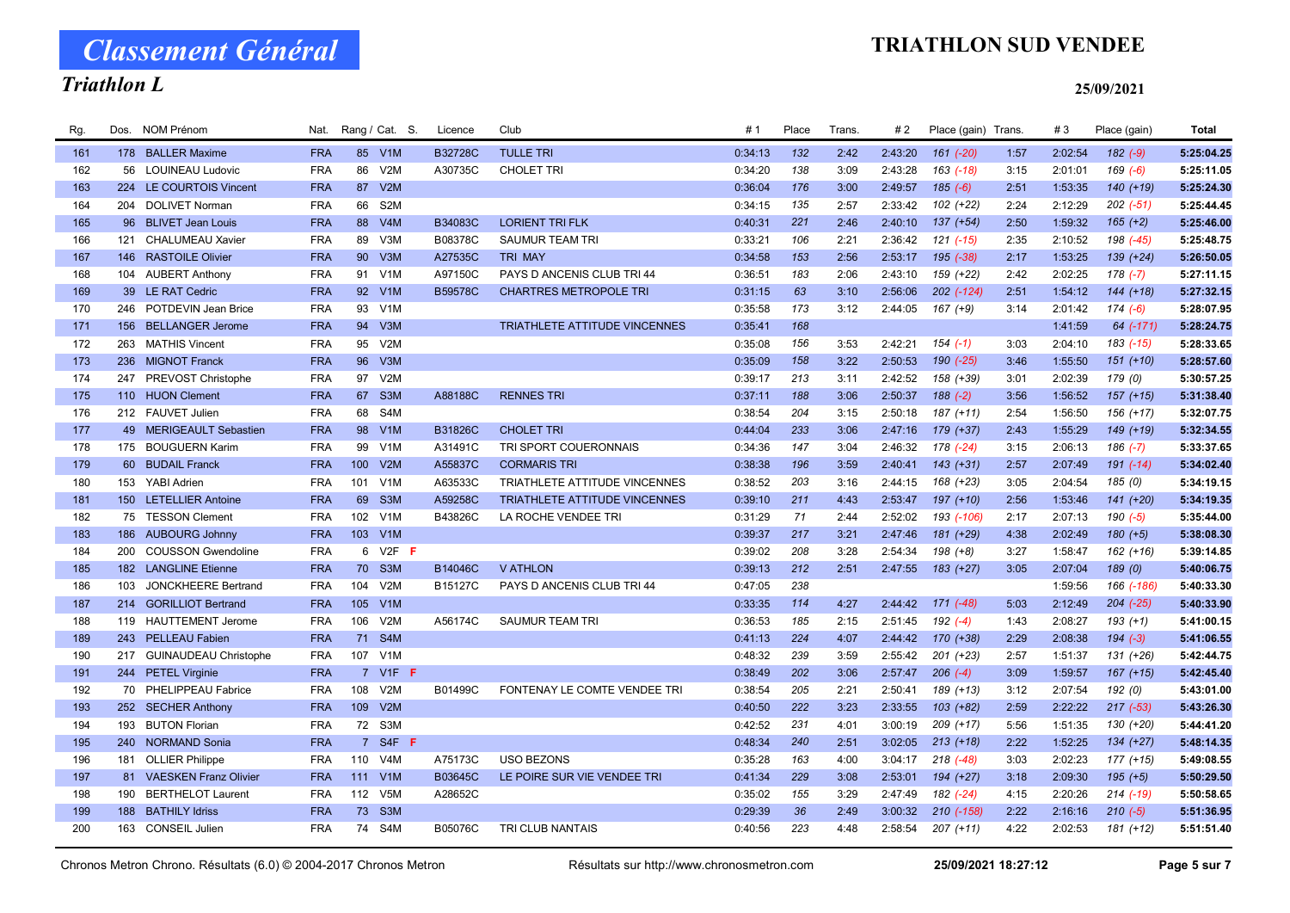# Triathlon L

## TRIATHLON SUD VENDEE

| Rg. | Dos. | <b>NOM Prénom</b>         | Nat.       | Rang / Cat. S.          | Licence | Club                                 | #1      | Place | Trans. | # 2     | Place (gain) Trans. |      | #3      | Place (gain)  | Total      |
|-----|------|---------------------------|------------|-------------------------|---------|--------------------------------------|---------|-------|--------|---------|---------------------|------|---------|---------------|------------|
| 161 |      | 178 BALLER Maxime         | <b>FRA</b> | 85 V1M                  | B32728C | <b>TULLE TRI</b>                     | 0:34:13 | 132   | 2:42   | 2:43:20 | $161$ $(-20)$       | 1:57 | 2:02:54 | $182 (-9)$    | 5:25:04.25 |
| 162 |      | 56 LOUINEAU Ludovic       | <b>FRA</b> | 86<br>V <sub>2</sub> M  | A30735C | <b>CHOLET TRI</b>                    | 0:34:20 | 138   | 3:09   | 2:43:28 | 163 (-18)           | 3:15 | 2:01:01 | $169 (-6)$    | 5:25:11.05 |
| 163 |      | 224 LE COURTOIS Vincent   | <b>FRA</b> | V2M<br>87               |         |                                      | 0:36:04 | 176   | 3:00   | 2:49:57 | $185(-6)$           | 2:51 | 1:53:35 | $140 (+19)$   | 5:25:24.30 |
| 164 |      | 204 DOLIVET Norman        | <b>FRA</b> | S <sub>2</sub> M<br>66  |         |                                      | 0:34:15 | 135   | 2:57   | 2:33:42 | $102 (+22)$         | 2:24 | 2:12:29 | $202$ $(-51)$ | 5:25:44.45 |
| 165 |      | 96 BLIVET Jean Louis      | <b>FRA</b> | V4M<br>88               | B34083C | <b>LORIENT TRI FLK</b>               | 0:40:31 | 221   | 2:46   | 2:40:10 | $137 (+54)$         | 2:50 | 1:59:32 | $165 (+2)$    | 5:25:46.00 |
| 166 | 121  | <b>CHALUMEAU Xavier</b>   | <b>FRA</b> | V3M<br>89               | B08378C | SAUMUR TEAM TRI                      | 0:33:21 | 106   | 2:21   | 2:36:42 | $121$ $(-15)$       | 2:35 | 2:10:52 | 198 (-45)     | 5:25:48.75 |
| 167 |      | 146 RASTOILE Olivier      | <b>FRA</b> | 90<br>V3M               | A27535C | <b>TRI MAY</b>                       | 0:34:58 | 153   | 2:56   | 2:53:17 | $195 (-38)$         | 2:17 | 1:53:25 | $139 (+24)$   | 5:26:50.05 |
| 168 |      | 104 AUBERT Anthony        | <b>FRA</b> | V1M<br>91               | A97150C | PAYS D ANCENIS CLUB TRI 44           | 0:36:51 | 183   | 2:06   | 2:43:10 | 159 (+22)           | 2:42 | 2:02:25 | $178(-7)$     | 5:27:11.15 |
| 169 |      | 39 LE RAT Cedric          | <b>FRA</b> | V1M<br>92               | B59578C | <b>CHARTRES METROPOLE TRI</b>        | 0:31:15 | 63    | 3:10   | 2:56:06 | 202 (-124)          | 2:51 | 1:54:12 | $144 (+18)$   | 5:27:32.15 |
| 170 |      | 246 POTDEVIN Jean Brice   | <b>FRA</b> | 93<br>V <sub>1</sub> M  |         |                                      | 0:35:58 | 173   | 3:12   | 2:44:05 | $167 (+9)$          | 3:14 | 2:01:42 | $174(-6)$     | 5:28:07.95 |
| 171 | 156  | <b>BELLANGER Jerome</b>   | <b>FRA</b> | 94<br>V3M               |         | TRIATHLETE ATTITUDE VINCENNES        | 0:35:41 | 168   |        |         |                     |      | 1:41:59 | 64 (-171)     | 5:28:24.75 |
| 172 |      | 263 MATHIS Vincent        | <b>FRA</b> | 95<br>V <sub>2</sub> M  |         |                                      | 0:35:08 | 156   | 3:53   | 2:42:21 | $154(-1)$           | 3:03 | 2:04:10 | $183( -15)$   | 5:28:33.65 |
| 173 |      | 236 MIGNOT Franck         | <b>FRA</b> | V3M<br>96               |         |                                      | 0:35:09 | 158   | 3:22   | 2:50:53 | 190 (-25)           | 3:46 | 1:55:50 | $151 (+10)$   | 5:28:57.60 |
| 174 | 247  | PREVOST Christophe        | <b>FRA</b> | 97<br>V2M               |         |                                      | 0:39:17 | 213   | 3:11   | 2:42:52 | 158 (+39)           | 3:01 | 2:02:39 | 179 (0)       | 5:30:57.25 |
| 175 |      | 110 HUON Clement          | <b>FRA</b> | 67 S3M                  | A88188C | <b>RENNES TRI</b>                    | 0:37:11 | 188   | 3:06   | 2:50:37 | $188(-2)$           | 3:56 | 1:56:52 | $157 (+15)$   | 5:31:38.40 |
| 176 |      | 212 FAUVET Julien         | <b>FRA</b> | S4M<br>68               |         |                                      | 0:38:54 | 204   | 3:15   | 2:50:18 | 187 (+11)           | 2:54 | 1:56:50 | 156 (+17)     | 5:32:07.75 |
| 177 |      | 49 MERIGEAULT Sebastien   | <b>FRA</b> | 98<br>V1M               | B31826C | <b>CHOLET TRI</b>                    | 0:44:04 | 233   | 3:06   | 2:47:16 | 179 (+37)           | 2:43 | 1:55:29 | 149 (+19)     | 5:32:34.55 |
| 178 |      | 175 BOUGUERN Karim        | <b>FRA</b> | V <sub>1</sub> M<br>99  | A31491C | TRI SPORT COUERONNAIS                | 0:34:36 | 147   | 3:04   | 2:46:32 | 178 (-24)           | 3:15 | 2:06:13 | $186(-7)$     | 5:33:37.65 |
| 179 |      | 60 BUDAIL Franck          | <b>FRA</b> | 100<br>V2M              | A55837C | <b>CORMARIS TRI</b>                  | 0:38:38 | 196   | 3:59   | 2:40:41 | $143 (+31)$         | 2:57 | 2:07:49 | $191 (-14)$   | 5:34:02.40 |
| 180 |      | 153 YABI Adrien           | <b>FRA</b> | V1M<br>101              | A63533C | <b>TRIATHLETE ATTITUDE VINCENNES</b> | 0:38:52 | 203   | 3:16   | 2:44:15 | 168 (+23)           | 3:05 | 2:04:54 | 185 (0)       | 5:34:19.15 |
| 181 |      | 150 LETELLIER Antoine     | <b>FRA</b> | 69<br>S <sub>3</sub> M  | A59258C | TRIATHLETE ATTITUDE VINCENNES        | 0:39:10 | 211   | 4:43   | 2:53:47 | 197 (+10)           | 2:56 | 1:53:46 | $141 (+20)$   | 5:34:19.35 |
| 182 |      | 75 TESSON Clement         | <b>FRA</b> | 102<br>V <sub>1</sub> M | B43826C | LA ROCHE VENDEE TRI                  | 0:31:29 | 71    | 2:44   | 2:52:02 | 193 (-106)          | 2:17 | 2:07:13 | $190 (-5)$    | 5:35:44.00 |
| 183 |      | 186 AUBOURG Johnny        | <b>FRA</b> | 103<br>V1M              |         |                                      | 0:39:37 | 217   | 3:21   | 2:47:46 | 181 (+29)           | 4:38 | 2:02:49 | $180 (+5)$    | 5:38:08.30 |
| 184 | 200  | <b>COUSSON Gwendoline</b> | <b>FRA</b> | $V2F$ F<br>6            |         |                                      | 0:39:02 | 208   | 3:28   | 2:54:34 | $198 (+8)$          | 3:27 | 1:58:47 | $162 (+16)$   | 5:39:14.85 |
| 185 |      | 182 LANGLINE Etienne      | <b>FRA</b> | 70 S3M                  | B14046C | <b>V ATHLON</b>                      | 0:39:13 | 212   | 2:51   | 2:47:55 | $183 (+27)$         | 3:05 | 2:07:04 | 189(0)        | 5:40:06.75 |
| 186 | 103  | JONCKHEERE Bertrand       | <b>FRA</b> | 104<br>V2M              | B15127C | PAYS D ANCENIS CLUB TRI 44           | 0:47:05 | 238   |        |         |                     |      | 1:59:56 | 166 (-186)    | 5:40:33.30 |
| 187 |      | 214 GORILLIOT Bertrand    | <b>FRA</b> | 105<br>V1M              |         |                                      | 0:33:35 | 114   | 4:27   | 2:44:42 | $171$ $(-48)$       | 5:03 | 2:12:49 | $204$ $(-25)$ | 5:40:33.90 |
| 188 | 119  | <b>HAUTTEMENT Jerome</b>  | <b>FRA</b> | 106<br>V2M              | A56174C | SAUMUR TEAM TRI                      | 0:36:53 | 185   | 2:15   | 2:51:45 | $192 (-4)$          | 1:43 | 2:08:27 | $193 (+1)$    | 5:41:00.15 |
| 189 |      | 243 PELLEAU Fabien        | <b>FRA</b> | 71<br>S4M               |         |                                      | 0:41:13 | 224   | 4:07   | 2:44:42 | 170 (+38)           | 2:29 | 2:08:38 | $194 (-3)$    | 5:41:06.55 |
| 190 |      | 217 GUINAUDEAU Christophe | <b>FRA</b> | 107 V1M                 |         |                                      | 0:48:32 | 239   | 3:59   | 2:55:42 | $201 (+23)$         | 2:57 | 1:51:37 | 131 (+26)     | 5:42:44.75 |
| 191 |      | 244 PETEL Virginie        | <b>FRA</b> | 7 V1F F                 |         |                                      | 0:38:49 | 202   | 3:06   | 2:57:47 | $206$ $(-4)$        | 3:09 | 1:59:57 | $167 (+15)$   | 5:42:45.40 |
| 192 |      | 70 PHELIPPEAU Fabrice     | <b>FRA</b> | 108<br>V2M              | B01499C | FONTENAY LE COMTE VENDEE TRI         | 0:38:54 | 205   | 2:21   | 2:50:41 | 189 (+13)           | 3:12 | 2:07:54 | 192 (0)       | 5:43:01.00 |
| 193 |      | 252 SECHER Anthony        | <b>FRA</b> | 109<br>V2M              |         |                                      | 0:40:50 | 222   | 3:23   | 2:33:55 | $103 (+82)$         | 2:59 | 2:22:22 | $217(-53)$    | 5:43:26.30 |
| 194 | 193  | <b>BUTON Florian</b>      | <b>FRA</b> | 72 S3M                  |         |                                      | 0:42:52 | 231   | 4:01   | 3:00:19 | $209 (+17)$         | 5:56 | 1:51:35 | 130 (+20)     | 5:44:41.20 |
| 195 |      | 240 NORMAND Sonia         | <b>FRA</b> | 7 S4F F                 |         |                                      | 0:48:34 | 240   | 2:51   | 3:02:05 | $213 (+18)$         | 2:22 | 1:52:25 | $134 (+27)$   | 5:48:14.35 |
| 196 |      | 181 OLLIER Philippe       | <b>FRA</b> | 110<br>V <sub>4</sub> M | A75173C | <b>USO BEZONS</b>                    | 0:35:28 | 163   | 4:00   | 3:04:17 | $218$ $(-48)$       | 3:03 | 2:02:23 | $177 (+15)$   | 5:49:08.55 |
| 197 |      | 81 VAESKEN Franz Olivier  | <b>FRA</b> | 111<br>V1M              | B03645C | LE POIRE SUR VIE VENDEE TRI          | 0:41:34 | 229   | 3:08   | 2:53:01 | $194 (+27)$         | 3:18 | 2:09:30 | $195 (+5)$    | 5:50:29.50 |
| 198 | 190  | <b>BERTHELOT Laurent</b>  | <b>FRA</b> | V5M<br>112              | A28652C |                                      | 0:35:02 | 155   | 3:29   | 2:47:49 | 182 (-24)           | 4:15 | 2:20:26 | $214$ $(-19)$ | 5:50:58.65 |
| 199 |      | 188 BATHILY Idriss        | <b>FRA</b> | 73<br>S <sub>3</sub> M  |         |                                      | 0:29:39 | 36    | 2:49   | 3:00:32 | $210( -158)$        | 2:22 | 2:16:16 | $210(-5)$     | 5:51:36.95 |
| 200 |      | 163 CONSEIL Julien        | <b>FRA</b> | 74 S4M                  | B05076C | TRI CLUB NANTAIS                     | 0:40:56 | 223   | 4:48   | 2:58:54 | $207 (+11)$         | 4:22 | 2:02:53 | $181 (+12)$   | 5:51:51.40 |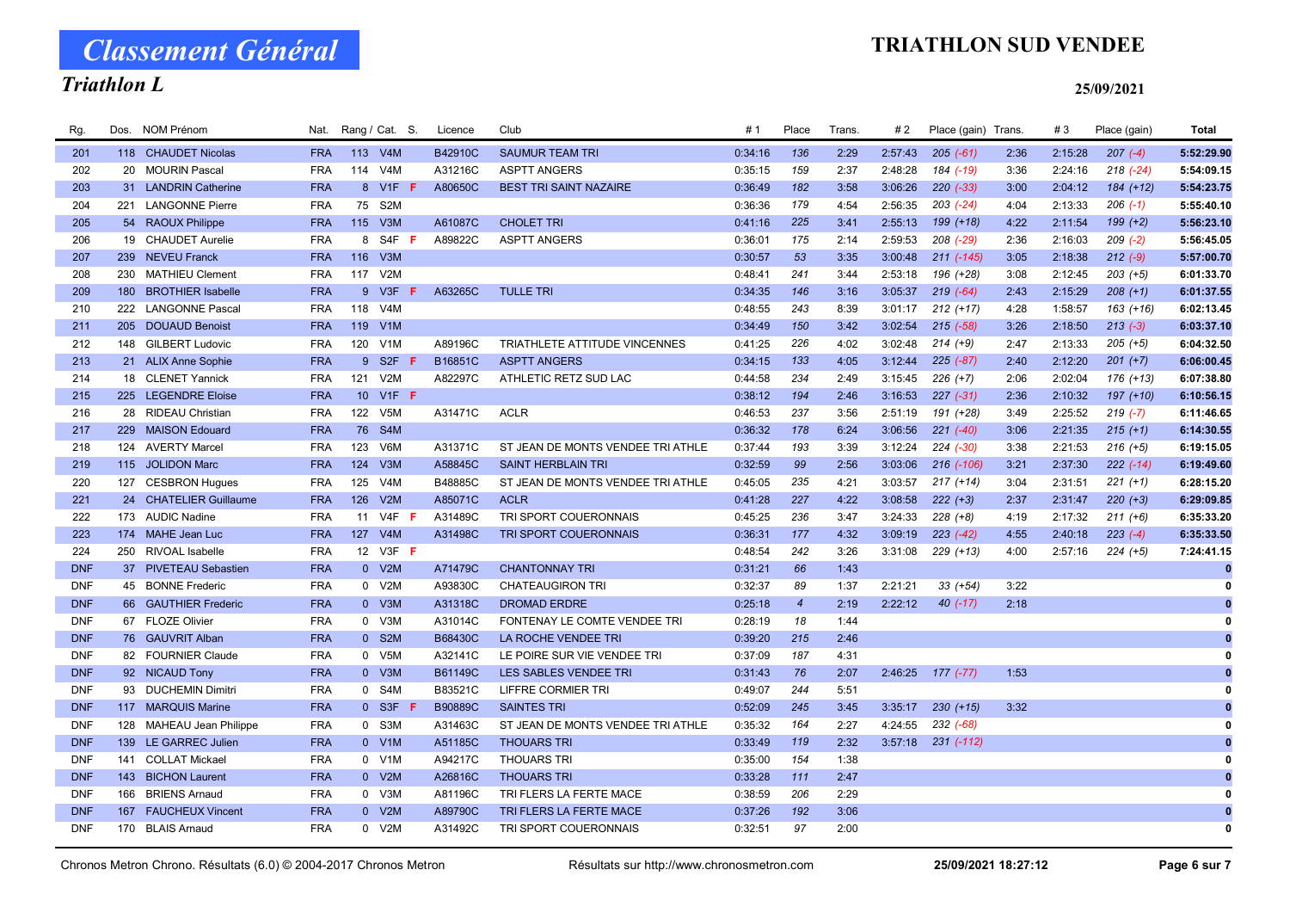# TRIATHLON SUD VENDEE

Classement Général Triathlon L

| Rg.        | Dos. | NOM Prénom             | Nat.       | Rang / Cat. S. |                  |    | Licence | Club                              | #1      | Place          | Trans | #2      | Place (gain) Trans. |      | #3      | Place (gain) | Total        |
|------------|------|------------------------|------------|----------------|------------------|----|---------|-----------------------------------|---------|----------------|-------|---------|---------------------|------|---------|--------------|--------------|
| 201        |      | 118 CHAUDET Nicolas    | <b>FRA</b> |                | 113 V4M          |    | B42910C | <b>SAUMUR TEAM TRI</b>            | 0:34:16 | 136            | 2:29  | 2:57:43 | $205(-61)$          | 2:36 | 2:15:28 | $207(-4)$    | 5:52:29.90   |
| 202        |      | 20 MOURIN Pascal       | <b>FRA</b> | 114            | V <sub>4</sub> M |    | A31216C | <b>ASPTT ANGERS</b>               | 0:35:15 | 159            | 2:37  | 2:48:28 | 184 (-19)           | 3:36 | 2:24:16 | $218(-24)$   | 5:54:09.15   |
| 203        |      | 31 LANDRIN Catherine   | <b>FRA</b> |                | 8 V1F F          |    | A80650C | <b>BEST TRI SAINT NAZAIRE</b>     | 0:36:49 | 182            | 3:58  | 3:06:26 | $220 (-33)$         | 3:00 | 2:04:12 | $184 (+12)$  | 5:54:23.75   |
| 204        | 221  | <b>LANGONNE Pierre</b> | <b>FRA</b> | 75             | S <sub>2</sub> M |    |         |                                   | 0:36:36 | 179            | 4:54  | 2:56:35 | $203$ $(-24)$       | 4:04 | 2:13:33 | $206$ $(-1)$ | 5:55:40.10   |
| 205        |      | 54 RAOUX Philippe      | <b>FRA</b> |                | 115 V3M          |    | A61087C | <b>CHOLET TRI</b>                 | 0:41:16 | 225            | 3:41  | 2:55:13 | 199 (+18)           | 4:22 | 2:11:54 | $199 (+2)$   | 5:56:23.10   |
| 206        |      | 19 CHAUDET Aurelie     | <b>FRA</b> | 8              | S4F              | F. | A89822C | <b>ASPTT ANGERS</b>               | 0:36:01 | 175            | 2:14  | 2:59:53 | 208 (-29)           | 2:36 | 2:16:03 | $209 (-2)$   | 5:56:45.05   |
| 207        |      | 239 NEVEU Franck       | <b>FRA</b> |                | 116 V3M          |    |         |                                   | 0:30:57 | 53             | 3:35  | 3:00:48 | $211 (-145)$        | 3:05 | 2:18:38 | $212 (-9)$   | 5:57:00.70   |
| 208        | 230  | <b>MATHIEU Clement</b> | <b>FRA</b> |                | 117 V2M          |    |         |                                   | 0:48:41 | 241            | 3:44  | 2:53:18 | 196 (+28)           | 3:08 | 2:12:45 | $203 (+5)$   | 6:01:33.70   |
| 209        |      | 180 BROTHIER Isabelle  | <b>FRA</b> |                | 9 V3F            | -F | A63265C | <b>TULLE TRI</b>                  | 0:34:35 | 146            | 3:16  | 3:05:37 | $219(-64)$          | 2:43 | 2:15:29 | $208 (+1)$   | 6:01:37.55   |
| 210        |      | 222 LANGONNE Pascal    | <b>FRA</b> | 118            | V <sub>4</sub> M |    |         |                                   | 0:48:55 | 243            | 8:39  | 3:01:17 | $212 (+17)$         | 4:28 | 1:58:57 | $163 (+16)$  | 6:02:13.45   |
| 211        |      | 205 DOUAUD Benoist     | <b>FRA</b> |                | 119 V1M          |    |         |                                   | 0:34:49 | 150            | 3:42  | 3:02:54 | $215 (-58)$         | 3:26 | 2:18:50 | $213 (-3)$   | 6:03:37.10   |
| 212        |      | 148 GILBERT Ludovic    | <b>FRA</b> |                | 120 V1M          |    | A89196C | TRIATHLETE ATTITUDE VINCENNES     | 0:41:25 | 226            | 4:02  | 3:02:48 | $214 (+9)$          | 2:47 | 2:13:33 | $205 (+5)$   | 6:04:32.50   |
| 213        |      | 21 ALIX Anne Sophie    | <b>FRA</b> |                | 9 S2F F          |    | B16851C | <b>ASPTT ANGERS</b>               | 0:34:15 | 133            | 4:05  | 3:12:44 | $225 (-87)$         | 2:40 | 2:12:20 | $201 (+7)$   | 6:06:00.45   |
| 214        |      | 18 CLENET Yannick      | <b>FRA</b> |                | 121 V2M          |    | A82297C | ATHLETIC RETZ SUD LAC             | 0:44:58 | 234            | 2:49  | 3:15:45 | $226 (+7)$          | 2:06 | 2:02:04 | $176 (+13)$  | 6:07:38.80   |
| 215        |      | 225 LEGENDRE Eloise    | <b>FRA</b> |                | 10 V1F F         |    |         |                                   | 0:38:12 | 194            | 2:46  | 3:16:53 | $227 (-31)$         | 2:36 | 2:10:32 | $197 (+10)$  | 6:10:56.15   |
| 216        |      | 28 RIDEAU Christian    | <b>FRA</b> | 122            | V <sub>5</sub> M |    | A31471C | <b>ACLR</b>                       | 0:46:53 | 237            | 3:56  | 2:51:19 | 191 (+28)           | 3:49 | 2:25:52 | $219(-7)$    | 6:11:46.65   |
| 217        |      | 229 MAISON Edouard     | <b>FRA</b> |                | 76 S4M           |    |         |                                   | 0:36:32 | 178            | 6:24  | 3:06:56 | $221 (-40)$         | 3:06 | 2:21:35 | $215 (+1)$   | 6:14:30.55   |
| 218        |      | 124 AVERTY Marcel      | <b>FRA</b> | 123            | V6M              |    | A31371C | ST JEAN DE MONTS VENDEE TRI ATHLE | 0:37:44 | 193            | 3:39  | 3:12:24 | $224 (-30)$         | 3:38 | 2:21:53 | $216 (+5)$   | 6:19:15.05   |
| 219        |      | 115 JOLIDON Marc       | <b>FRA</b> |                | 124 V3M          |    | A58845C | <b>SAINT HERBLAIN TRI</b>         | 0:32:59 | 99             | 2:56  | 3:03:06 | 216 (-106)          | 3:21 | 2:37:30 | $222 (-14)$  | 6:19:49.60   |
| 220        |      | 127 CESBRON Hugues     | <b>FRA</b> | 125            | V <sub>4</sub> M |    | B48885C | ST JEAN DE MONTS VENDEE TRI ATHLE | 0:45:05 | 235            | 4:21  | 3:03:57 | $217 (+14)$         | 3:04 | 2:31:51 | $221 (+1)$   | 6:28:15.20   |
| 221        |      | 24 CHATELIER Guillaume | <b>FRA</b> | 126            | V2M              |    | A85071C | <b>ACLR</b>                       | 0:41:28 | 227            | 4:22  | 3:08:58 | $222 (+3)$          | 2:37 | 2:31:47 | $220 (+3)$   | 6:29:09.85   |
| 222        |      | 173 AUDIC Nadine       | <b>FRA</b> |                | 11 V4F <b>F</b>  |    | A31489C | TRI SPORT COUERONNAIS             | 0:45:25 | 236            | 3:47  | 3:24:33 | $228 (+8)$          | 4:19 | 2:17:32 | $211 (+6)$   | 6:35:33.20   |
| 223        |      | 174 MAHE Jean Luc      | <b>FRA</b> |                | 127 V4M          |    | A31498C | TRI SPORT COUERONNAIS             | 0:36:31 | 177            | 4:32  | 3:09:19 | $223 (-42)$         | 4:55 | 2:40:18 | $223 (-4)$   | 6:35:33.50   |
| 224        | 250  | RIVOAL Isabelle        | <b>FRA</b> |                | 12 V3F F         |    |         |                                   | 0:48:54 | 242            | 3:26  | 3:31:08 | $229 (+13)$         | 4:00 | 2:57:16 | $224 (+5)$   | 7:24:41.15   |
| <b>DNF</b> |      | 37 PIVETEAU Sebastien  | <b>FRA</b> |                | 0 V2M            |    | A71479C | <b>CHANTONNAY TRI</b>             | 0:31:21 | 66             | 1:43  |         |                     |      |         |              | $\bf{0}$     |
| <b>DNF</b> |      | 45 BONNE Frederic      | <b>FRA</b> |                | 0 V2M            |    | A93830C | <b>CHATEAUGIRON TRI</b>           | 0:32:37 | 89             | 1:37  | 2:21:21 | $33 (+54)$          | 3:22 |         |              |              |
| <b>DNF</b> |      | 66 GAUTHIER Frederic   | <b>FRA</b> |                | 0 V3M            |    | A31318C | <b>DROMAD ERDRE</b>               | 0:25:18 | $\overline{4}$ | 2:19  | 2:22:12 | $40$ ( $-17$ )      | 2:18 |         |              |              |
| <b>DNF</b> |      | 67 FLOZE Olivier       | <b>FRA</b> | 0              | V3M              |    | A31014C | FONTENAY LE COMTE VENDEE TRI      | 0:28:19 | 18             | 1:44  |         |                     |      |         |              |              |
| <b>DNF</b> |      | 76 GAUVRIT Alban       | <b>FRA</b> |                | 0 S2M            |    | B68430C | LA ROCHE VENDEE TRI               | 0:39:20 | 215            | 2:46  |         |                     |      |         |              | $\mathbf{0}$ |
| <b>DNF</b> |      | 82 FOURNIER Claude     | <b>FRA</b> | $\mathbf{0}$   | V <sub>5</sub> M |    | A32141C | LE POIRE SUR VIE VENDEE TRI       | 0:37:09 | 187            | 4:31  |         |                     |      |         |              | 0            |
| <b>DNF</b> |      | 92 NICAUD Tony         | <b>FRA</b> |                | 0 V3M            |    | B61149C | LES SABLES VENDEE TRI             | 0:31:43 | 76             | 2:07  | 2:46:25 | 177 (-77)           | 1:53 |         |              |              |
| <b>DNF</b> |      | 93 DUCHEMIN Dimitri    | <b>FRA</b> | 0              | S4M              |    | B83521C | LIFFRE CORMIER TRI                | 0:49:07 | 244            | 5:51  |         |                     |      |         |              |              |
| <b>DNF</b> |      | 117 MARQUIS Marine     | <b>FRA</b> | $\mathbf{0}$   | S <sub>3F</sub>  |    | B90889C | <b>SAINTES TRI</b>                | 0:52:09 | 245            | 3:45  | 3:35:17 | $230 (+15)$         | 3:32 |         |              |              |
| <b>DNF</b> | 128  | MAHEAU Jean Philippe   | <b>FRA</b> |                | 0 S3M            |    | A31463C | ST JEAN DE MONTS VENDEE TRI ATHLE | 0:35:32 | 164            | 2:27  | 4:24:55 | 232 (-68)           |      |         |              |              |
| <b>DNF</b> |      | 139 LE GARREC Julien   | <b>FRA</b> |                | 0 V1M            |    | A51185C | <b>THOUARS TRI</b>                | 0:33:49 | 119            | 2:32  | 3:57:18 | $231$ $(-112)$      |      |         |              | $\bf{0}$     |
| <b>DNF</b> |      | 141 COLLAT Mickael     | <b>FRA</b> |                | 0 V1M            |    | A94217C | <b>THOUARS TRI</b>                | 0:35:00 | 154            | 1:38  |         |                     |      |         |              |              |
| <b>DNF</b> |      | 143 BICHON Laurent     | <b>FRA</b> |                | 0 V2M            |    | A26816C | <b>THOUARS TRI</b>                | 0:33:28 | 111            | 2:47  |         |                     |      |         |              |              |
| <b>DNF</b> | 166  | <b>BRIENS Arnaud</b>   | <b>FRA</b> |                | 0 V3M            |    | A81196C | TRI FLERS LA FERTE MACE           | 0:38:59 | 206            | 2:29  |         |                     |      |         |              |              |
| <b>DNF</b> |      | 167 FAUCHEUX Vincent   | <b>FRA</b> |                | 0 V2M            |    | A89790C | TRI FLERS LA FERTE MACE           | 0:37:26 | 192            | 3:06  |         |                     |      |         |              | $\bf{0}$     |
| <b>DNF</b> |      | 170 BLAIS Arnaud       | <b>FRA</b> |                | 0 V2M            |    | A31492C | TRI SPORT COUERONNAIS             | 0:32:51 | 97             | 2:00  |         |                     |      |         |              | $\mathbf 0$  |
|            |      |                        |            |                |                  |    |         |                                   |         |                |       |         |                     |      |         |              |              |